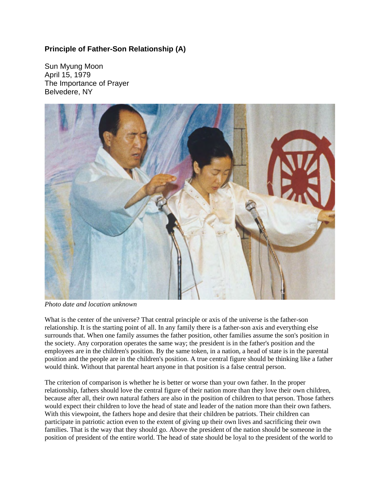## **Principle of Father-Son Relationship (A)**

Sun Myung Moon April 15, 1979 The Importance of Prayer Belvedere, NY



*Photo date and location unknown*

What is the center of the universe? That central principle or axis of the universe is the father-son relationship. It is the starting point of all. In any family there is a father-son axis and everything else surrounds that. When one family assumes the father position, other families assume the son's position in the society. Any corporation operates the same way; the president is in the father's position and the employees are in the children's position. By the same token, in a nation, a head of state is in the parental position and the people are in the children's position. A true central figure should be thinking like a father would think. Without that parental heart anyone in that position is a false central person.

The criterion of comparison is whether he is better or worse than your own father. In the proper relationship, fathers should love the central figure of their nation more than they love their own children, because after all, their own natural fathers are also in the position of children to that person. Those fathers would expect their children to love the head of state and leader of the nation more than their own fathers. With this viewpoint, the fathers hope and desire that their children be patriots. Their children can participate in patriotic action even to the extent of giving up their own lives and sacrificing their own families. That is the way that they should go. Above the president of the nation should be someone in the position of president of the entire world. The head of state should be loyal to the president of the world to